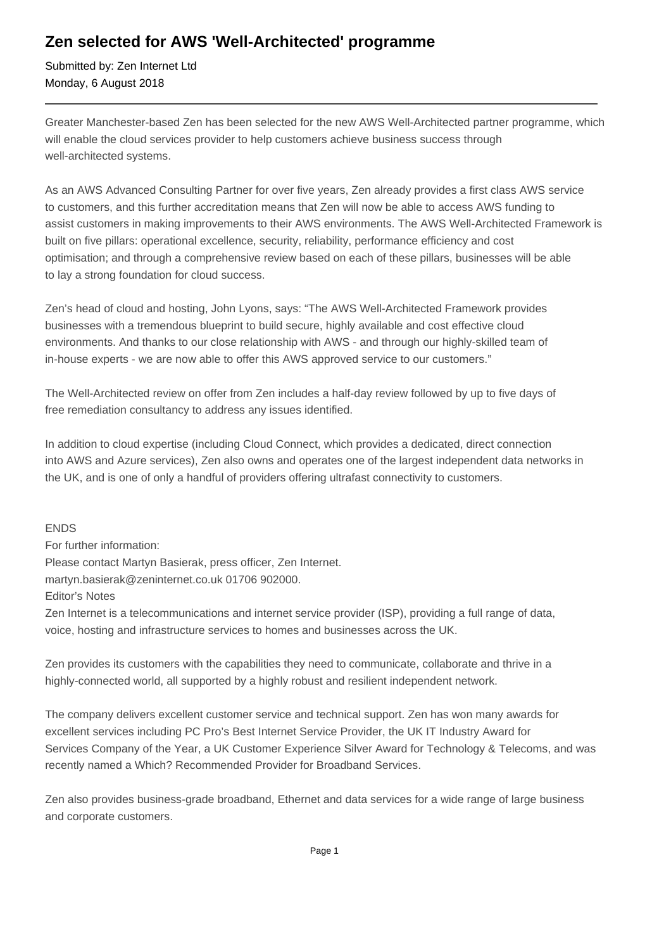## **Zen selected for AWS 'Well-Architected' programme**

Submitted by: Zen Internet Ltd Monday, 6 August 2018

Greater Manchester-based Zen has been selected for the new AWS Well-Architected partner programme, which will enable the cloud services provider to help customers achieve business success through well-architected systems.

As an AWS Advanced Consulting Partner for over five years, Zen already provides a first class AWS service to customers, and this further accreditation means that Zen will now be able to access AWS funding to assist customers in making improvements to their AWS environments. The AWS Well-Architected Framework is built on five pillars: operational excellence, security, reliability, performance efficiency and cost optimisation; and through a comprehensive review based on each of these pillars, businesses will be able to lay a strong foundation for cloud success.

Zen's head of cloud and hosting, John Lyons, says: "The AWS Well-Architected Framework provides businesses with a tremendous blueprint to build secure, highly available and cost effective cloud environments. And thanks to our close relationship with AWS - and through our highly-skilled team of in-house experts - we are now able to offer this AWS approved service to our customers."

The Well-Architected review on offer from Zen includes a half-day review followed by up to five days of free remediation consultancy to address any issues identified.

In addition to cloud expertise (including Cloud Connect, which provides a dedicated, direct connection into AWS and Azure services), Zen also owns and operates one of the largest independent data networks in the UK, and is one of only a handful of providers offering ultrafast connectivity to customers.

ENDS For further information: Please contact Martyn Basierak, press officer, Zen Internet. martyn.basierak@zeninternet.co.uk 01706 902000. Editor's Notes Zen Internet is a telecommunications and internet service provider (ISP), providing a full range of data, voice, hosting and infrastructure services to homes and businesses across the UK.

Zen provides its customers with the capabilities they need to communicate, collaborate and thrive in a highly-connected world, all supported by a highly robust and resilient independent network.

The company delivers excellent customer service and technical support. Zen has won many awards for excellent services including PC Pro's Best Internet Service Provider, the UK IT Industry Award for Services Company of the Year, a UK Customer Experience Silver Award for Technology & Telecoms, and was recently named a Which? Recommended Provider for Broadband Services.

Zen also provides business-grade broadband, Ethernet and data services for a wide range of large business and corporate customers.